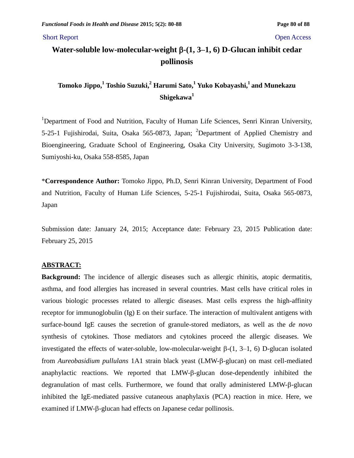Short Report Open Access

# Water-soluble low-molecular-weight β-(1, 3–1, 6) D-Glucan inhibit cedar **pollinosis**

# **Tomoko Jippo,<sup>1</sup> Toshio Suzuki,<sup>2</sup> Harumi Sato,<sup>1</sup> Yuko Kobayashi,<sup>1</sup>and Munekazu Shigekawa<sup>1</sup>**

<sup>1</sup>Department of Food and Nutrition, Faculty of Human Life Sciences, Senri Kinran University, 5-25-1 Fujishirodai, Suita, Osaka 565-0873, Japan; <sup>2</sup>Department of Applied Chemistry and Bioengineering, Graduate School of Engineering, Osaka City University, Sugimoto 3-3-138, Sumiyoshi-ku, Osaka 558-8585, Japan

\***Correspondence Author:** Tomoko Jippo, Ph.D, Senri Kinran University, Department of Food and Nutrition, Faculty of Human Life Sciences, 5-25-1 Fujishirodai, Suita, Osaka 565-0873, Japan

Submission date: January 24, 2015; Acceptance date: February 23, 2015 Publication date: February 25, 2015

## **ABSTRACT:**

**Background:** The incidence of allergic diseases such as allergic rhinitis, atopic dermatitis, asthma, and food allergies has increased in several countries. Mast cells have critical roles in various biologic processes related to allergic diseases. Mast cells express the high-affinity receptor for immunoglobulin (Ig) E on their surface. The interaction of multivalent antigens with surface-bound IgE causes the secretion of granule-stored mediators, as well as the *de novo* synthesis of cytokines. Those mediators and cytokines proceed the allergic diseases. We investigated the effects of water-soluble, low-molecular-weight  $\beta$ -(1, 3–1, 6) D-glucan isolated from *Aureobasidium pullulans* 1A1 strain black yeast (LMW- $\beta$ -glucan) on mast cell-mediated anaphylactic reactions. We reported that LMW- $\beta$ -glucan dose-dependently inhibited the degranulation of mast cells. Furthermore, we found that orally administered LMW- $\beta$ -glucan inhibited the IgE-mediated passive cutaneous anaphylaxis (PCA) reaction in mice. Here, we examined if LMW- $\beta$ -glucan had effects on Japanese cedar pollinosis.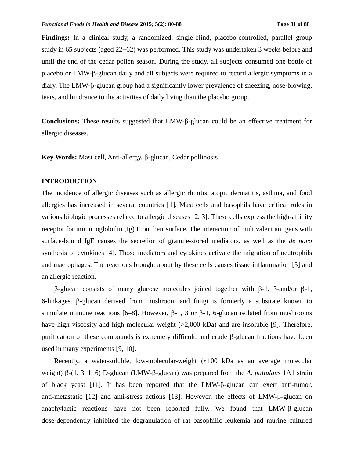Findings: In a clinical study, a randomized, single-blind, placebo-controlled, parallel group study in 65 subjects (aged  $22-62$ ) was performed. This study was undertaken 3 weeks before and until the end of the cedar pollen season. During the study, all subjects consumed one bottle of placebo or LMW- $\beta$ -glucan daily and all subjects were required to record allergic symptoms in a diary. The LMW- $\beta$ -glucan group had a significantly lower prevalence of sneezing, nose-blowing, tears, and hindrance to the activities of daily living than the placebo group.

Conclusions: These results suggested that LMW- $\beta$ -glucan could be an effective treatment for allergic diseases.

**Key Words:** Mast cell, Anti-allergy, β-glucan, Cedar pollinosis

# **INTRODUCTION**

The incidence of allergic diseases such as allergic rhinitis, atopic dermatitis, asthma, and food allergies has increased in several countries [1]. Mast cells and basophils have critical roles in various biologic processes related to allergic diseases [2, 3]. These cells express the high-affinity receptor for immunoglobulin (Ig) E on their surface. The interaction of multivalent antigens with surface-bound IgE causes the secretion of granule-stored mediators, as well as the *de novo* synthesis of cytokines [4]. Those mediators and cytokines activate the migration of neutrophils and macrophages. The reactions brought about by these cells causes tissue inflammation [5] and an allergic reaction.

 $\beta$ -glucan consists of many glucose molecules joined together with  $\beta$ -1, 3-and/or  $\beta$ -1, 6-linkages.  $\beta$ -glucan derived from mushroom and fungi is formerly a substrate known to stimulate immune reactions [6–8]. However,  $\beta$ -1, 3 or  $\beta$ -1, 6-glucan isolated from mushrooms have high viscosity and high molecular weight (>2,000 kDa) and are insoluble [9]. Therefore, purification of these compounds is extremely difficult, and crude  $\beta$ -glucan fractions have been used in many experiments [9, 10].

Recently, a water-soluble, low-molecular-weight  $(\approx 100 \text{ kDa}$  as an average molecular weight)  $\beta$ -(1, 3–1, 6) D-glucan (LMW- $\beta$ -glucan) was prepared from the *A. pullulans* 1A1 strain of black yeast [11]. It has been reported that the LMW- $\beta$ -glucan can exert anti-tumor, anti-metastatic [12] and anti-stress actions [13]. However, the effects of  $LMW$ - $\beta$ -glucan on anaphylactic reactions have not been reported fully. We found that LMW-B-glucan dose-dependently inhibited the degranulation of rat basophilic leukemia and murine cultured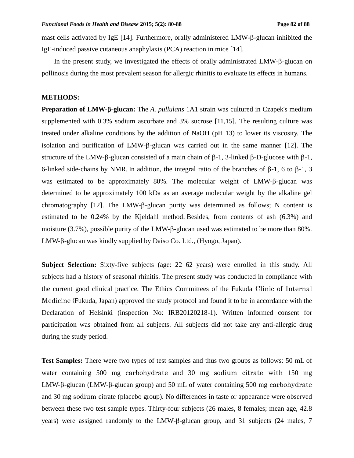mast cells activated by IgE  $[14]$ . Furthermore, orally administered LMW- $\beta$ -glucan inhibited the IgE-induced passive cutaneous anaphylaxis (PCA) reaction in mice [14].

In the present study, we investigated the effects of orally administrated LMW- $\beta$ -glucan on pollinosis during the most prevalent season for allergic rhinitis to evaluate its effects in humans.

### **METHODS:**

**Preparation of LMW--glucan:** The *A. pullulans* 1A1 strain was cultured in Czapek's medium supplemented with 0.3% sodium ascorbate and 3% sucrose [11,15]. The resulting culture was treated under alkaline conditions by the addition of NaOH (pH 13) to lower its viscosity. The isolation and purification of  $LMW-\beta$ -glucan was carried out in the same manner [12]. The structure of the LMW- $\beta$ -glucan consisted of a main chain of  $\beta$ -1, 3-linked  $\beta$ -D-glucose with  $\beta$ -1, 6-linked side-chains by NMR. In addition, the integral ratio of the branches of  $\beta$ -1, 6 to  $\beta$ -1, 3 was estimated to be approximately 80%. The molecular weight of LMW- $\beta$ -glucan was determined to be approximately 100 kDa as an average molecular weight by the alkaline gel chromatography  $[12]$ . The LMW- $\beta$ -glucan purity was determined as follows; N content is estimated to be 0.24% by the Kjeldahl method. Besides, from contents of ash (6.3%) and moisture (3.7%), possible purity of the LMW- $\beta$ -glucan used was estimated to be more than 80%.  $LMW-\beta$ -glucan was kindly supplied by Daiso Co. Ltd., (Hyogo, Japan).

**Subject Selection:** Sixty-five subjects (age: 22–62 years) were enrolled in this study. All subjects had a history of seasonal rhinitis. The present study was conducted in compliance with the current good clinical practice. The Ethics Committees of the Fukuda Clinic of Internal Medicine (Fukuda, Japan) approved the study protocol and found it to be in accordance with the Declaration of Helsinki (inspection No: IRB20120218-1). Written informed consent for participation was obtained from all subjects. All subjects did not take any anti-allergic drug during the study period.

**Test Samples:** There were two types of test samples and thus two groups as follows: 50 mL of water containing 500 mg carbohydrate and 30 mg sodium citrate with 150 mg  $LMW-\beta$ -glucan (LMW- $\beta$ -glucan group) and 50 mL of water containing 500 mg carbohydrate and 30 mg sodium citrate (placebo group). No differences in taste or appearance were observed between these two test sample types. Thirty-four subjects (26 males, 8 females; mean age, 42.8 years) were assigned randomly to the LMW- $\beta$ -glucan group, and 31 subjects (24 males, 7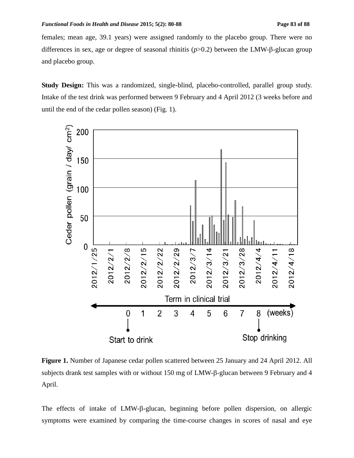females; mean age, 39.1 years) were assigned randomly to the placebo group. There were no differences in sex, age or degree of seasonal rhinitis  $(p>0.2)$  between the LMW- $\beta$ -glucan group and placebo group.

**Study Design:** This was a randomized, single-blind, placebo-controlled, parallel group study. Intake of the test drink was performed between 9 February and 4 April 2012 (3 weeks before and until the end of the cedar pollen season) (Fig. 1).



**Figure 1.** Number of Japanese cedar pollen scattered between 25 January and 24 April 2012. All subjects drank test samples with or without  $150$  mg of LMW- $\beta$ -glucan between 9 February and 4 April.

The effects of intake of LMW- $\beta$ -glucan, beginning before pollen dispersion, on allergic symptoms were examined by comparing the time-course changes in scores of nasal and eye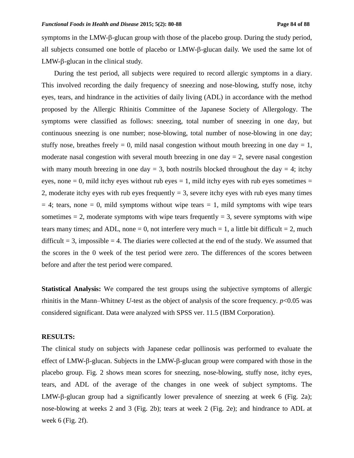symptoms in the LMW- $\beta$ -glucan group with those of the placebo group. During the study period, all subjects consumed one bottle of placebo or  $LMW-\beta$ -glucan daily. We used the same lot of  $LMW-\beta$ -glucan in the clinical study.

During the test period, all subjects were required to record allergic symptoms in a diary. This involved recording the daily frequency of sneezing and nose-blowing, stuffy nose, itchy eyes, tears, and hindrance in the activities of daily living (ADL) in accordance with the method proposed by the Allergic Rhinitis Committee of the Japanese Society of Allergology. The symptoms were classified as follows: sneezing, total number of sneezing in one day, but continuous sneezing is one number; nose-blowing, total number of nose-blowing in one day; stuffy nose, breathes freely  $= 0$ , mild nasal congestion without mouth breezing in one day  $= 1$ , moderate nasal congestion with several mouth breezing in one day  $= 2$ , severe nasal congestion with many mouth breezing in one day  $= 3$ , both nostrils blocked throughout the day  $= 4$ ; itchy eyes, none  $= 0$ , mild itchy eyes without rub eyes  $= 1$ , mild itchy eyes with rub eyes sometimes  $=$ 2, moderate itchy eyes with rub eyes frequently  $= 3$ , severe itchy eyes with rub eyes many times  $= 4$ ; tears, none  $= 0$ , mild symptoms without wipe tears  $= 1$ , mild symptoms with wipe tears sometimes  $= 2$ , moderate symptoms with wipe tears frequently  $= 3$ , severe symptoms with wipe tears many times; and ADL, none = 0, not interfere very much = 1, a little bit difficult = 2, much difficult  $= 3$ , impossible  $= 4$ . The diaries were collected at the end of the study. We assumed that the scores in the 0 week of the test period were zero. The differences of the scores between before and after the test period were compared.

**Statistical Analysis:** We compared the test groups using the subjective symptoms of allergic rhinitis in the Mann–Whitney *U*-test as the object of analysis of the score frequency. *p*<0.05 was considered significant. Data were analyzed with SPSS ver. 11.5 (IBM Corporation).

## **RESULTS:**

The clinical study on subjects with Japanese cedar pollinosis was performed to evaluate the effect of LMW- $\beta$ -glucan. Subjects in the LMW- $\beta$ -glucan group were compared with those in the placebo group. Fig. 2 shows mean scores for sneezing, nose-blowing, stuffy nose, itchy eyes, tears, and ADL of the average of the changes in one week of subject symptoms. The LMW- $\beta$ -glucan group had a significantly lower prevalence of sneezing at week 6 (Fig. 2a); nose-blowing at weeks 2 and 3 (Fig. 2b); tears at week 2 (Fig. 2e); and hindrance to ADL at week 6 (Fig. 2f).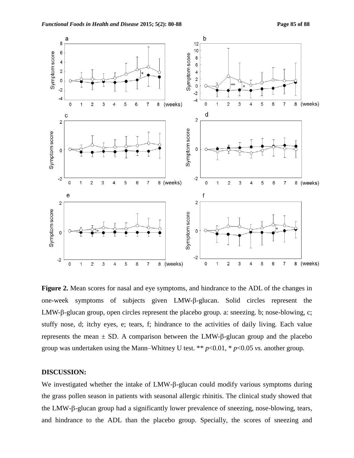

**Figure 2.** Mean scores for nasal and eye symptoms, and hindrance to the ADL of the changes in one-week symptoms of subjects given LMW- $\beta$ -glucan. Solid circles represent the LMW- $\beta$ -glucan group, open circles represent the placebo group. a: sneezing. b; nose-blowing, c; stuffy nose, d; itchy eyes, e; tears, f; hindrance to the activities of daily living. Each value represents the mean  $\pm$  SD. A comparison between the LMW- $\beta$ -glucan group and the placebo group was undertaken using the Mann–Whitney U test. \*\* *p*<0.01, \* *p*<0.05 *vs*. another group.

# **DISCUSSION:**

We investigated whether the intake of  $LMW-\beta$ -glucan could modify various symptoms during the grass pollen season in patients with seasonal allergic rhinitis. The clinical study showed that the LMW- $\beta$ -glucan group had a significantly lower prevalence of sneezing, nose-blowing, tears, and hindrance to the ADL than the placebo group. Specially, the scores of sneezing and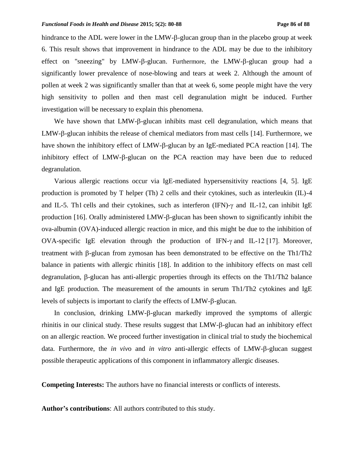hindrance to the ADL were lower in the LMW- $\beta$ -glucan group than in the placebo group at week 6. This result shows that improvement in hindrance to the ADL may be due to the inhibitory effect on "sneezing" by LMW- $\beta$ -glucan. Furthermore, the LMW- $\beta$ -glucan group had a significantly lower prevalence of nose-blowing and tears at week 2. Although the amount of pollen at week 2 was significantly smaller than that at week 6, some people might have the very high sensitivity to pollen and then mast cell degranulation might be induced. Further investigation will be necessary to explain this phenomena.

We have shown that  $LMW-\beta$ -glucan inhibits mast cell degranulation, which means that LMW- $\beta$ -glucan inhibits the release of chemical mediators from mast cells [14]. Furthermore, we have shown the inhibitory effect of LMW- $\beta$ -glucan by an IgE-mediated PCA reaction [14]. The inhibitory effect of  $LMW-\beta$ -glucan on the PCA reaction may have been due to reduced degranulation.

Various allergic reactions occur via IgE-mediated hypersensitivity reactions [4, 5]. IgE production is promoted by T helper (Th) 2 cells and their cytokines, such as interleukin (IL)-4 and IL-5. Th1 cells and their cytokines, such as interferon (IFN)- $\gamma$  and IL-12, can inhibit IgE production [16]. Orally administered LMW- $\beta$ -glucan has been shown to significantly inhibit the ova-albumin (OVA)-induced allergic reaction in mice, and this might be due to the inhibition of OVA-specific IgE elevation through the production of IFN- $\gamma$  and IL-12 [17]. Moreover, treatment with  $\beta$ -glucan from zymosan has been demonstrated to be effective on the Th1/Th2 balance in patients with allergic rhinitis [18]. In addition to the inhibitory effects on mast cell degranulation,  $\beta$ -glucan has anti-allergic properties through its effects on the Th1/Th2 balance and IgE production. The measurement of the amounts in serum Th1/Th2 cytokines and IgE levels of subjects is important to clarify the effects of LMW- $\beta$ -glucan.

In conclusion, drinking  $LMW-\beta$ -glucan markedly improved the symptoms of allergic rhinitis in our clinical study. These results suggest that LMW-B-glucan had an inhibitory effect on an allergic reaction. We proceed further investigation in clinical trial to study the biochemical data. Furthermore, the *in vivo* and *in vitro* anti-allergic effects of LMW- $\beta$ -glucan suggest possible therapeutic applications of this component in inflammatory allergic diseases.

**Competing Interests:** The authors have no financial interests or conflicts of interests.

**Author's contributions**: All authors contributed to this study.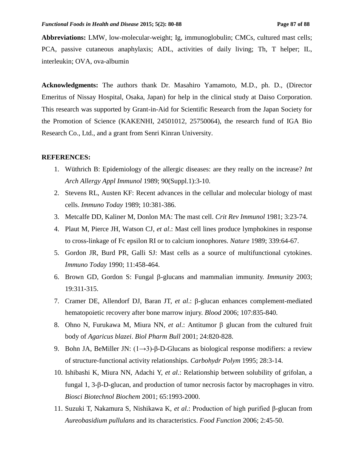**Abbreviations:** LMW, low-molecular-weight; Ig, immunoglobulin; CMCs, cultured mast cells; PCA, passive cutaneous anaphylaxis; ADL, activities of daily living; Th, T helper; IL, interleukin; OVA, ova-albumin

**Acknowledgments:** The authors thank Dr. Masahiro Yamamoto, M.D., ph. D., (Director Emeritus of Nissay Hospital, Osaka, Japan) for help in the clinical study at Daiso Corporation. This research was supported by Grant-in-Aid for Scientific Research from the Japan Society for the Promotion of Science (KAKENHI, 24501012, 25750064), the research fund of IGA Bio Research Co., Ltd., and a grant from Senri Kinran University.

### **REFERENCES:**

- 1. Wüthrich B: Epidemiology of the allergic diseases: are they really on the increase? *Int Arch Allergy Appl Immunol* 1989; 90(Suppl.1):3-10.
- 2. Stevens RL, Austen KF: Recent advances in the cellular and molecular biology of mast cells. *Immuno Today* 1989; 10:381-386.
- 3. Metcalfe DD, Kaliner M, Donlon MA: The mast cell. *Crit Rev Immunol* 1981; 3:23-74.
- 4. Plaut M, Pierce JH, Watson CJ, *et al*.: Mast cell lines produce lymphokines in response to cross-linkage of Fc epsilon RI or to calcium ionophores. *Nature* 1989; 339:64-67.
- 5. Gordon JR, Burd PR, Galli SJ: Mast cells as a source of multifunctional cytokines. *Immuno Today* 1990; 11:458-464.
- 6. Brown GD, Gordon S: Fungal  $\beta$ -glucans and mammalian immunity. *Immunity* 2003; 19:311-315.
- 7. Cramer DE, Allendorf DJ, Baran JT, *et al.*:  $\beta$ -glucan enhances complement-mediated hematopoietic recovery after bone marrow injury. *Blood* 2006; 107:835-840.
- 8. Ohno N, Furukawa M, Miura NN, *et al.*: Antitumor  $\beta$  glucan from the cultured fruit body of *Agaricus blazei*. *Biol Pharm Bull* 2001; 24:820-828.
- 9. Bohn JA, BeMiller JN:  $(1\rightarrow 3)$ -β-D-Glucans as biological response modifiers: a review of structure-functional activity relationships. *Carbohydr Polym* 1995; 28:3-14.
- 10. Ishibashi K, Miura NN, Adachi Y, *et al*.: Relationship between solubility of grifolan, a fungal  $1, 3-\beta$ -D-glucan, and production of tumor necrosis factor by macrophages in vitro. *Biosci Biotechnol Biochem* 2001; 65:1993-2000.
- 11. Suzuki T, Nakamura S, Nishikawa K, *et al*.: Production of high purified β-glucan from *Aureobasidium pullulans* and its characteristics. *Food Function* 2006; 2:45-50.